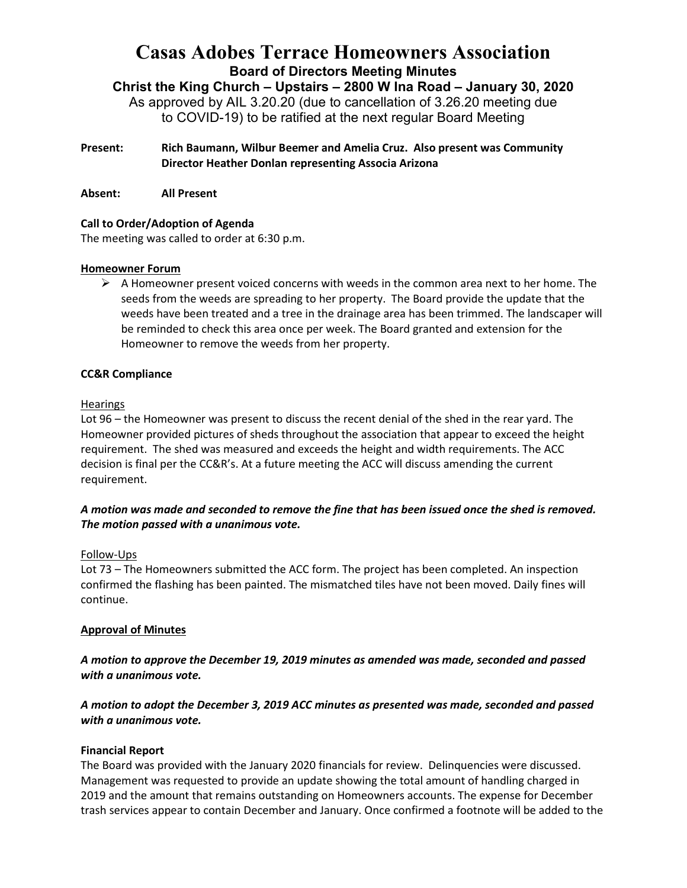# **Casas Adobes Terrace Homeowners Association Board of Directors Meeting Minutes**

**Christ the King Church – Upstairs – 2800 W Ina Road – January 30, 2020** As approved by AIL 3.20.20 (due to cancellation of 3.26.20 meeting due to COVID-19) to be ratified at the next regular Board Meeting

- **Present: Rich Baumann, Wilbur Beemer and Amelia Cruz. Also present was Community Director Heather Donlan representing Associa Arizona**
- **Absent: All Present**

# **Call to Order/Adoption of Agenda**

The meeting was called to order at 6:30 p.m.

# **Homeowner Forum**

 $\triangleright$  A Homeowner present voiced concerns with weeds in the common area next to her home. The seeds from the weeds are spreading to her property. The Board provide the update that the weeds have been treated and a tree in the drainage area has been trimmed. The landscaper will be reminded to check this area once per week. The Board granted and extension for the Homeowner to remove the weeds from her property.

# **CC&R Compliance**

# Hearings

Lot 96 – the Homeowner was present to discuss the recent denial of the shed in the rear yard. The Homeowner provided pictures of sheds throughout the association that appear to exceed the height requirement. The shed was measured and exceeds the height and width requirements. The ACC decision is final per the CC&R's. At a future meeting the ACC will discuss amending the current requirement.

# *A motion was made and seconded to remove the fine that has been issued once the shed is removed. The motion passed with a unanimous vote.*

# Follow-Ups

Lot 73 – The Homeowners submitted the ACC form. The project has been completed. An inspection confirmed the flashing has been painted. The mismatched tiles have not been moved. Daily fines will continue.

# **Approval of Minutes**

*A motion to approve the December 19, 2019 minutes as amended was made, seconded and passed with a unanimous vote.* 

*A motion to adopt the December 3, 2019 ACC minutes as presented was made, seconded and passed with a unanimous vote.* 

# **Financial Report**

The Board was provided with the January 2020 financials for review. Delinquencies were discussed. Management was requested to provide an update showing the total amount of handling charged in 2019 and the amount that remains outstanding on Homeowners accounts. The expense for December trash services appear to contain December and January. Once confirmed a footnote will be added to the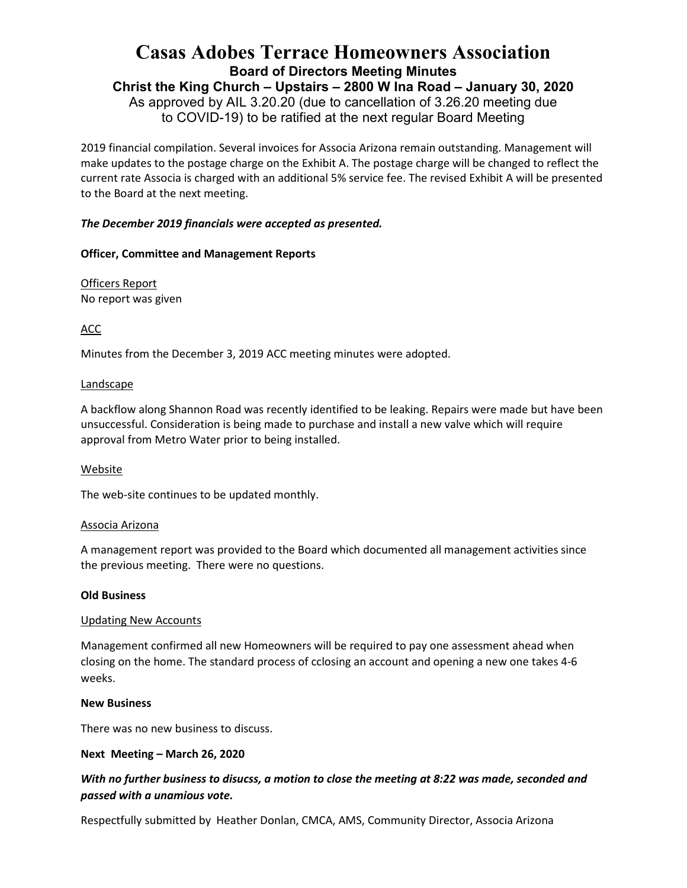# **Casas Adobes Terrace Homeowners Association Board of Directors Meeting Minutes**

**Christ the King Church – Upstairs – 2800 W Ina Road – January 30, 2020**

As approved by AIL 3.20.20 (due to cancellation of 3.26.20 meeting due to COVID-19) to be ratified at the next regular Board Meeting

2019 financial compilation. Several invoices for Associa Arizona remain outstanding. Management will make updates to the postage charge on the Exhibit A. The postage charge will be changed to reflect the current rate Associa is charged with an additional 5% service fee. The revised Exhibit A will be presented to the Board at the next meeting.

# *The December 2019 financials were accepted as presented.*

# **Officer, Committee and Management Reports**

Officers Report No report was given

ACC

Minutes from the December 3, 2019 ACC meeting minutes were adopted.

# Landscape

A backflow along Shannon Road was recently identified to be leaking. Repairs were made but have been unsuccessful. Consideration is being made to purchase and install a new valve which will require approval from Metro Water prior to being installed.

# Website

The web-site continues to be updated monthly.

# Associa Arizona

A management report was provided to the Board which documented all management activities since the previous meeting. There were no questions.

# **Old Business**

# Updating New Accounts

Management confirmed all new Homeowners will be required to pay one assessment ahead when closing on the home. The standard process of cclosing an account and opening a new one takes 4-6 weeks.

# **New Business**

There was no new business to discuss.

# **Next Meeting – March 26, 2020**

# *With no further business to disucss, a motion to close the meeting at 8:22 was made, seconded and passed with a unamious vote.*

Respectfully submitted by Heather Donlan, CMCA, AMS, Community Director, Associa Arizona